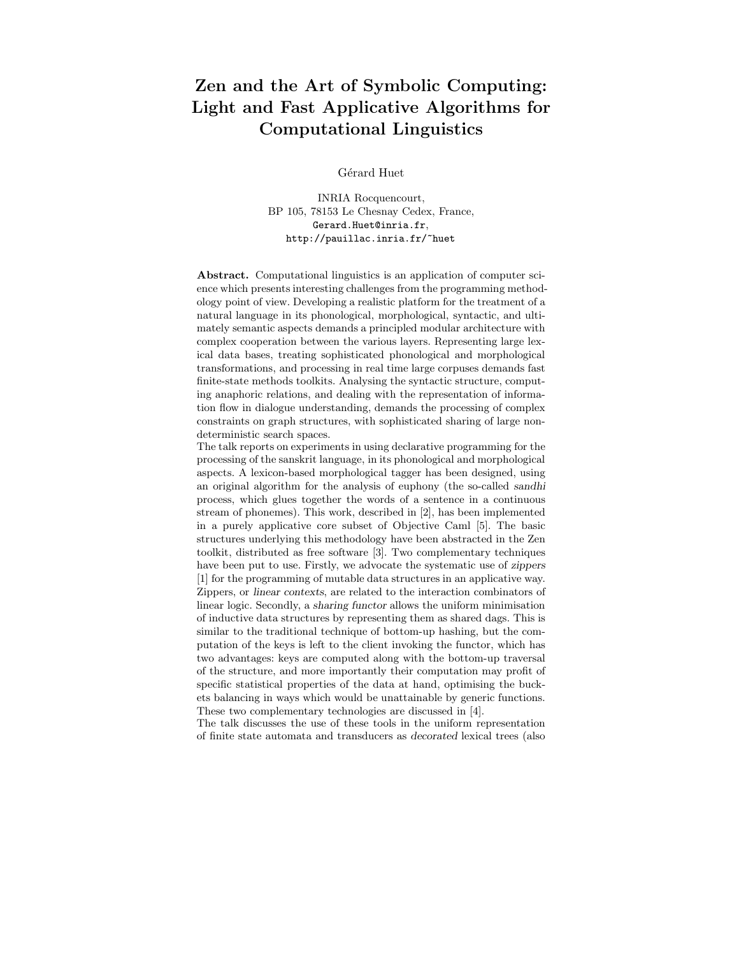## Zen and the Art of Symbolic Computing: Light and Fast Applicative Algorithms for Computational Linguistics

Gérard Huet

INRIA Rocquencourt, BP 105, 78153 Le Chesnay Cedex, France, Gerard.Huet@inria.fr, http://pauillac.inria.fr/~huet

Abstract. Computational linguistics is an application of computer science which presents interesting challenges from the programming methodology point of view. Developing a realistic platform for the treatment of a natural language in its phonological, morphological, syntactic, and ultimately semantic aspects demands a principled modular architecture with complex cooperation between the various layers. Representing large lexical data bases, treating sophisticated phonological and morphological transformations, and processing in real time large corpuses demands fast finite-state methods toolkits. Analysing the syntactic structure, computing anaphoric relations, and dealing with the representation of information flow in dialogue understanding, demands the processing of complex constraints on graph structures, with sophisticated sharing of large nondeterministic search spaces.

The talk reports on experiments in using declarative programming for the processing of the sanskrit language, in its phonological and morphological aspects. A lexicon-based morphological tagger has been designed, using an original algorithm for the analysis of euphony (the so-called sandhi process, which glues together the words of a sentence in a continuous stream of phonemes). This work, described in [2], has been implemented in a purely applicative core subset of Objective Caml [5]. The basic structures underlying this methodology have been abstracted in the Zen toolkit, distributed as free software [3]. Two complementary techniques have been put to use. Firstly, we advocate the systematic use of zippers [1] for the programming of mutable data structures in an applicative way. Zippers, or linear contexts, are related to the interaction combinators of linear logic. Secondly, a sharing functor allows the uniform minimisation of inductive data structures by representing them as shared dags. This is similar to the traditional technique of bottom-up hashing, but the computation of the keys is left to the client invoking the functor, which has two advantages: keys are computed along with the bottom-up traversal of the structure, and more importantly their computation may profit of specific statistical properties of the data at hand, optimising the buckets balancing in ways which would be unattainable by generic functions. These two complementary technologies are discussed in [4].

The talk discusses the use of these tools in the uniform representation of finite state automata and transducers as decorated lexical trees (also